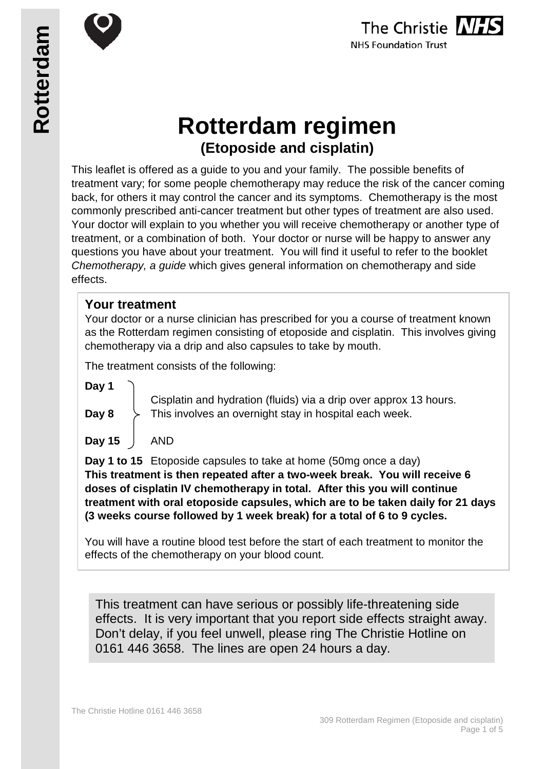



# **Rotterdam regimen (Etoposide and cisplatin)**

This leaflet is offered as a guide to you and your family. The possible benefits of treatment vary; for some people chemotherapy may reduce the risk of the cancer coming back, for others it may control the cancer and its symptoms. Chemotherapy is the most commonly prescribed anti-cancer treatment but other types of treatment are also used. Your doctor will explain to you whether you will receive chemotherapy or another type of treatment, or a combination of both. Your doctor or nurse will be happy to answer any questions you have about your treatment. You will find it useful to refer to the booklet *Chemotherapy, a guide* which gives general information on chemotherapy and side effects.

#### **Your treatment**

Your doctor or a nurse clinician has prescribed for you a course of treatment known as the Rotterdam regimen consisting of etoposide and cisplatin. This involves giving chemotherapy via a drip and also capsules to take by mouth.

The treatment consists of the following:

**Day 1**

Cisplatin and hydration (fluids) via a drip over approx 13 hours. **Day 8**  $\rightarrow$  This involves an overnight stay in hospital each week.

**Day 15** AND

**Day 1 to 15** Etoposide capsules to take at home (50mg once a day) **This treatment is then repeated after a two-week break. You will receive 6 doses of cisplatin IV chemotherapy in total. After this you will continue treatment with oral etoposide capsules, which are to be taken daily for 21 days (3 weeks course followed by 1 week break) for a total of 6 to 9 cycles.**

You will have a routine blood test before the start of each treatment to monitor the effects of the chemotherapy on your blood count.

This treatment can have serious or possibly life-threatening side effects. It is very important that you report side effects straight away. Don't delay, if you feel unwell, please ring The Christie Hotline on 0161 446 3658. The lines are open 24 hours a day.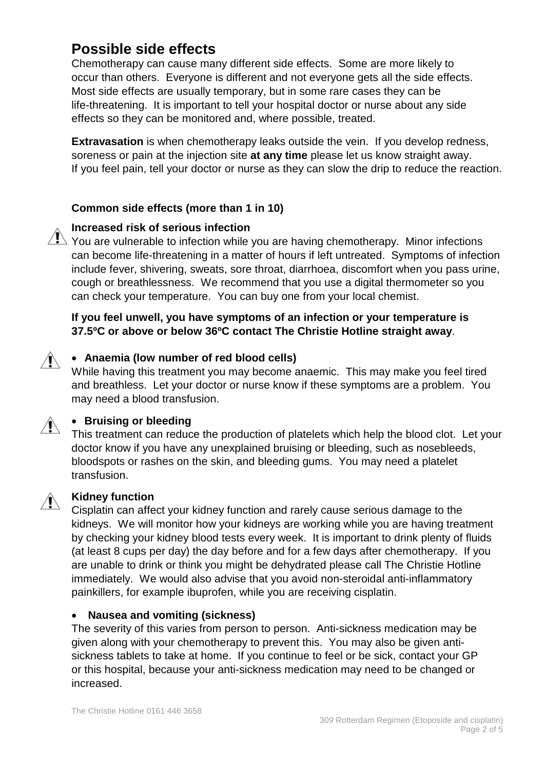## **Possible side effects**

Chemotherapy can cause many different side effects. Some are more likely to occur than others. Everyone is different and not everyone gets all the side effects. Most side effects are usually temporary, but in some rare cases they can be life-threatening. It is important to tell your hospital doctor or nurse about any side effects so they can be monitored and, where possible, treated.

**Extravasation** is when chemotherapy leaks outside the vein. If you develop redness, soreness or pain at the injection site **at any time** please let us know straight away. If you feel pain, tell your doctor or nurse as they can slow the drip to reduce the reaction.

#### **Common side effects (more than 1 in 10)**



#### **Increased risk of serious infection**

 $\sqrt{1}$  You are vulnerable to infection while you are having chemotherapy. Minor infections can become life-threatening in a matter of hours if left untreated. Symptoms of infection include fever, shivering, sweats, sore throat, diarrhoea, discomfort when you pass urine, cough or breathlessness. We recommend that you use a digital thermometer so you can check your temperature. You can buy one from your local chemist.

#### **If you feel unwell, you have symptoms of an infection or your temperature is 37.5ºC or above or below 36ºC contact The Christie Hotline straight away**.

#### • **Anaemia (low number of red blood cells)**  $\sqrt{N}$

While having this treatment you may become anaemic. This may make you feel tired and breathless. Let your doctor or nurse know if these symptoms are a problem. You may need a blood transfusion.



#### • **Bruising or bleeding**

This treatment can reduce the production of platelets which help the blood clot. Let your doctor know if you have any unexplained bruising or bleeding, such as nosebleeds, bloodspots or rashes on the skin, and bleeding gums. You may need a platelet transfusion.



#### **Kidney function**

Cisplatin can affect your kidney function and rarely cause serious damage to the kidneys. We will monitor how your kidneys are working while you are having treatment by checking your kidney blood tests every week. It is important to drink plenty of fluids (at least 8 cups per day) the day before and for a few days after chemotherapy. If you are unable to drink or think you might be dehydrated please call The Christie Hotline immediately. We would also advise that you avoid non-steroidal anti-inflammatory painkillers, for example ibuprofen, while you are receiving cisplatin.

#### • **Nausea and vomiting (sickness)**

The severity of this varies from person to person. Anti-sickness medication may be given along with your chemotherapy to prevent this. You may also be given antisickness tablets to take at home. If you continue to feel or be sick, contact your GP or this hospital, because your anti-sickness medication may need to be changed or increased.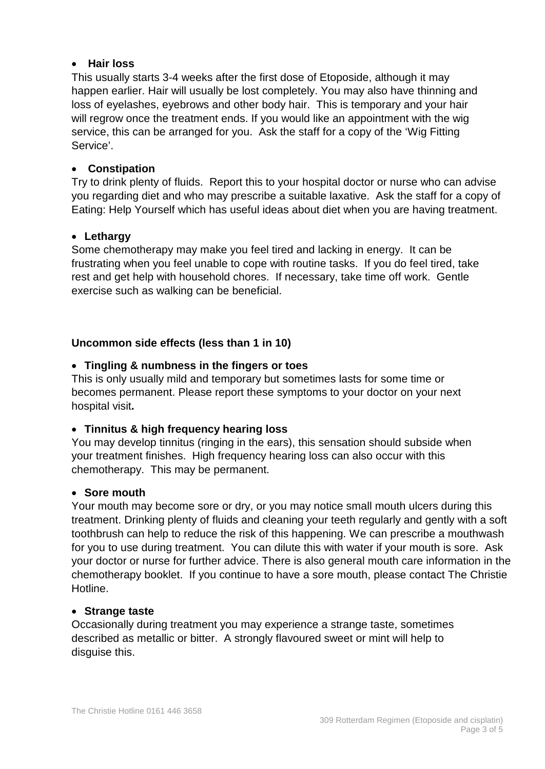#### • **Hair loss**

This usually starts 3-4 weeks after the first dose of Etoposide, although it may happen earlier. Hair will usually be lost completely. You may also have thinning and loss of eyelashes, eyebrows and other body hair. This is temporary and your hair will regrow once the treatment ends. If you would like an appointment with the wig service, this can be arranged for you. Ask the staff for a copy of the 'Wig Fitting Service'.

#### • **Constipation**

Try to drink plenty of fluids. Report this to your hospital doctor or nurse who can advise you regarding diet and who may prescribe a suitable laxative. Ask the staff for a copy of Eating: Help Yourself which has useful ideas about diet when you are having treatment.

#### • **Lethargy**

Some chemotherapy may make you feel tired and lacking in energy. It can be frustrating when you feel unable to cope with routine tasks. If you do feel tired, take rest and get help with household chores. If necessary, take time off work. Gentle exercise such as walking can be beneficial.

#### **Uncommon side effects (less than 1 in 10)**

#### • **Tingling & numbness in the fingers or toes**

This is only usually mild and temporary but sometimes lasts for some time or becomes permanent. Please report these symptoms to your doctor on your next hospital visit**.**

#### • **Tinnitus & high frequency hearing loss**

You may develop tinnitus (ringing in the ears), this sensation should subside when your treatment finishes. High frequency hearing loss can also occur with this chemotherapy. This may be permanent.

#### • **Sore mouth**

Your mouth may become sore or dry, or you may notice small mouth ulcers during this treatment. Drinking plenty of fluids and cleaning your teeth regularly and gently with a soft toothbrush can help to reduce the risk of this happening. We can prescribe a mouthwash for you to use during treatment. You can dilute this with water if your mouth is sore. Ask your doctor or nurse for further advice. There is also general mouth care information in the chemotherapy booklet. If you continue to have a sore mouth, please contact The Christie Hotline.

#### • **Strange taste**

Occasionally during treatment you may experience a strange taste, sometimes described as metallic or bitter. A strongly flavoured sweet or mint will help to disguise this.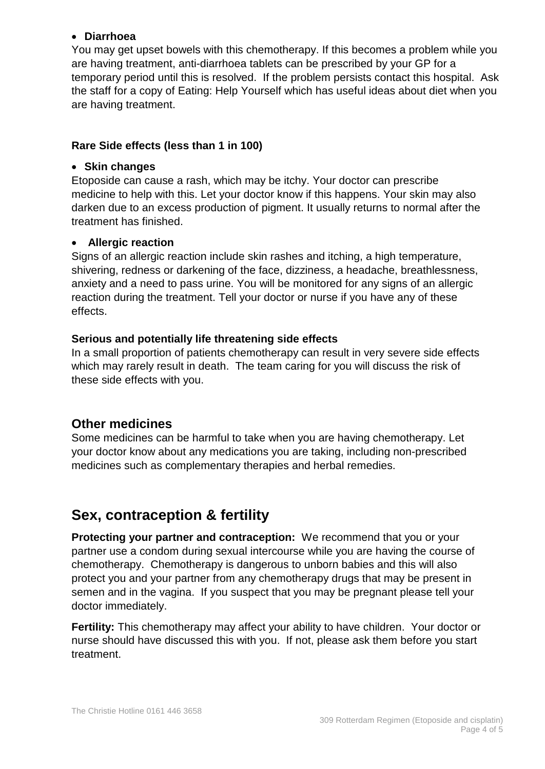#### • **Diarrhoea**

You may get upset bowels with this chemotherapy. If this becomes a problem while you are having treatment, anti-diarrhoea tablets can be prescribed by your GP for a temporary period until this is resolved. If the problem persists contact this hospital. Ask the staff for a copy of Eating: Help Yourself which has useful ideas about diet when you are having treatment.

#### **Rare Side effects (less than 1 in 100)**

#### • **Skin changes**

Etoposide can cause a rash, which may be itchy. Your doctor can prescribe medicine to help with this. Let your doctor know if this happens. Your skin may also darken due to an excess production of pigment. It usually returns to normal after the treatment has finished.

#### • **Allergic reaction**

Signs of an allergic reaction include skin rashes and itching, a high temperature, shivering, redness or darkening of the face, dizziness, a headache, breathlessness, anxiety and a need to pass urine. You will be monitored for any signs of an allergic reaction during the treatment. Tell your doctor or nurse if you have any of these effects.

#### **Serious and potentially life threatening side effects**

In a small proportion of patients chemotherapy can result in very severe side effects which may rarely result in death. The team caring for you will discuss the risk of these side effects with you.

### **Other medicines**

Some medicines can be harmful to take when you are having chemotherapy. Let your doctor know about any medications you are taking, including non-prescribed medicines such as complementary therapies and herbal remedies.

## **Sex, contraception & fertility**

**Protecting your partner and contraception:** We recommend that you or your partner use a condom during sexual intercourse while you are having the course of chemotherapy. Chemotherapy is dangerous to unborn babies and this will also protect you and your partner from any chemotherapy drugs that may be present in semen and in the vagina. If you suspect that you may be pregnant please tell your doctor immediately.

**Fertility:** This chemotherapy may affect your ability to have children. Your doctor or nurse should have discussed this with you. If not, please ask them before you start treatment.